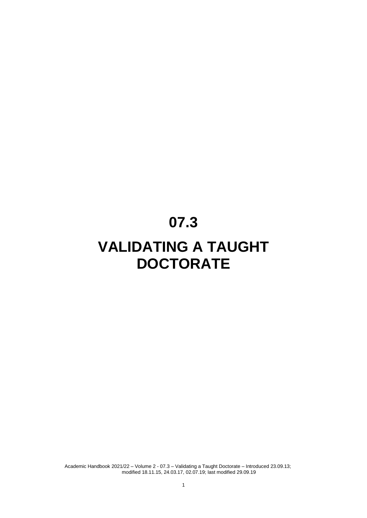# **07.3**

# **VALIDATING A TAUGHT DOCTORATE**

Academic Handbook 2021/22 – Volume 2 - 07.3 – Validating a Taught Doctorate – Introduced 23.09.13; modified 18.11.15, 24.03.17, 02.07.19; last modified 29.09.19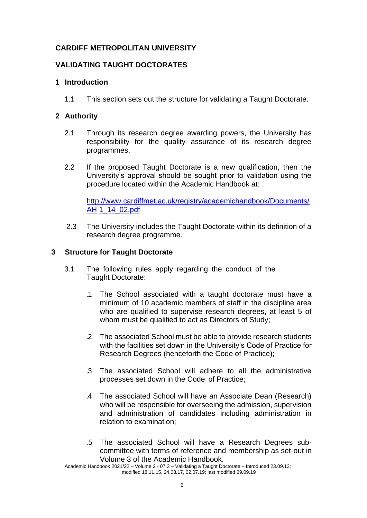# **CARDIFF METROPOLITAN UNIVERSITY**

# **VALIDATING TAUGHT DOCTORATES**

## **1 Introduction**

1.1 This section sets out the structure for validating a Taught Doctorate.

## **2 Authority**

- 2.1 Through its research degree awarding powers, the University has responsibility for the quality assurance of its research degree programmes.
- 2.2 If the proposed Taught Doctorate is a new qualification, then the University's approval should be sought prior to validation using the procedure located within the Academic Handbook at:

[http://www.cardiffmet.ac.uk/registry/academichandbook/Documents/](http://www.cardiffmet.ac.uk/registry/academichandbook/Documents/AH) [AH](http://www.cardiffmet.ac.uk/registry/academichandbook/Documents/AH) [1\\_14\\_02.pdf](http://www.cardiffmet.ac.uk/registry/academichandbook/Documents/AH1_14_02.pdf)

2.3 The University includes the Taught Doctorate within its definition of a research degree programme.

# **3 Structure for Taught Doctorate**

- 3.1 The following rules apply regarding the conduct of the Taught Doctorate:
	- .1 The School associated with a taught doctorate must have a minimum of 10 academic members of staff in the discipline area who are qualified to supervise research degrees, at least 5 of whom must be qualified to act as Directors of Study;
	- .2 The associated School must be able to provide research students with the facilities set down in the University's Code of Practice for Research Degrees (henceforth the Code of Practice);
	- .3 The associated School will adhere to all the administrative processes set down in the Code of Practice;
	- .4 The associated School will have an Associate Dean (Research) who will be responsible for overseeing the admission, supervision and administration of candidates including administration in relation to examination;
	- .5 The associated School will have a Research Degrees subcommittee with terms of reference and membership as set-out in Volume 3 of the Academic Handbook.

Academic Handbook 2021/22 – Volume 2 - 07.3 – Validating a Taught Doctorate – Introduced 23.09.13; modified 18.11.15, 24.03.17, 02.07.19; last modified 29.09.19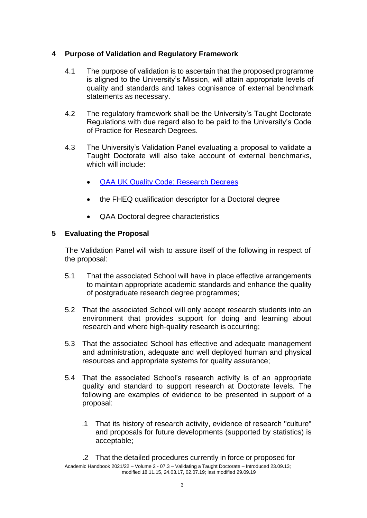# **4 Purpose of Validation and Regulatory Framework**

- 4.1 The purpose of validation is to ascertain that the proposed programme is aligned to the University's Mission, will attain appropriate levels of quality and standards and takes cognisance of external benchmark statements as necessary.
- 4.2 The regulatory framework shall be the University's Taught Doctorate Regulations with due regard also to be paid to the University's Code of Practice for Research Degrees.
- 4.3 The University's Validation Panel evaluating a proposal to validate a Taught Doctorate will also take account of external benchmarks, which will include:
	- [QAA UK Quality Code: Research](https://www.qaa.ac.uk/en/quality-code/advice-and-guidance/research-degrees) Degrees
	- the FHEQ qualification descriptor for a Doctoral degree
	- QAA Doctoral degree characteristics

# **5 Evaluating the Proposal**

The Validation Panel will wish to assure itself of the following in respect of the proposal:

- 5.1 That the associated School will have in place effective arrangements to maintain appropriate academic standards and enhance the quality of postgraduate research degree programmes;
- 5.2 That the associated School will only accept research students into an environment that provides support for doing and learning about research and where high-quality research is occurring;
- 5.3 That the associated School has effective and adequate management and administration, adequate and well deployed human and physical resources and appropriate systems for quality assurance;
- 5.4 That the associated School's research activity is of an appropriate quality and standard to support research at Doctorate levels. The following are examples of evidence to be presented in support of a proposal:
	- .1 That its history of research activity, evidence of research "culture" and proposals for future developments (supported by statistics) is acceptable;
	- .2 That the detailed procedures currently in force or proposed for

Academic Handbook 2021/22 – Volume 2 - 07.3 – Validating a Taught Doctorate – Introduced 23.09.13; modified 18.11.15, 24.03.17, 02.07.19; last modified 29.09.19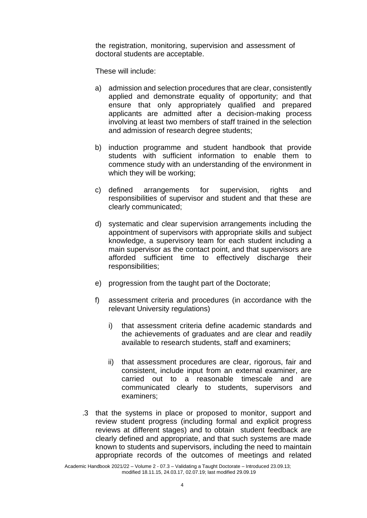the registration, monitoring, supervision and assessment of doctoral students are acceptable.

These will include:

- a) admission and selection procedures that are clear, consistently applied and demonstrate equality of opportunity; and that ensure that only appropriately qualified and prepared applicants are admitted after a decision-making process involving at least two members of staff trained in the selection and admission of research degree students;
- b) induction programme and student handbook that provide students with sufficient information to enable them to commence study with an understanding of the environment in which they will be working;
- c) defined arrangements for supervision, rights and responsibilities of supervisor and student and that these are clearly communicated;
- d) systematic and clear supervision arrangements including the appointment of supervisors with appropriate skills and subject knowledge, a supervisory team for each student including a main supervisor as the contact point, and that supervisors are afforded sufficient time to effectively discharge their responsibilities;
- e) progression from the taught part of the Doctorate;
- f) assessment criteria and procedures (in accordance with the relevant University regulations)
	- i) that assessment criteria define academic standards and the achievements of graduates and are clear and readily available to research students, staff and examiners;
	- ii) that assessment procedures are clear, rigorous, fair and consistent, include input from an external examiner, are carried out to a reasonable timescale and are communicated clearly to students, supervisors and examiners;
- .3 that the systems in place or proposed to monitor, support and review student progress (including formal and explicit progress reviews at different stages) and to obtain student feedback are clearly defined and appropriate, and that such systems are made known to students and supervisors, including the need to maintain appropriate records of the outcomes of meetings and related

Academic Handbook 2021/22 – Volume 2 - 07.3 – Validating a Taught Doctorate – Introduced 23.09.13; modified 18.11.15, 24.03.17, 02.07.19; last modified 29.09.19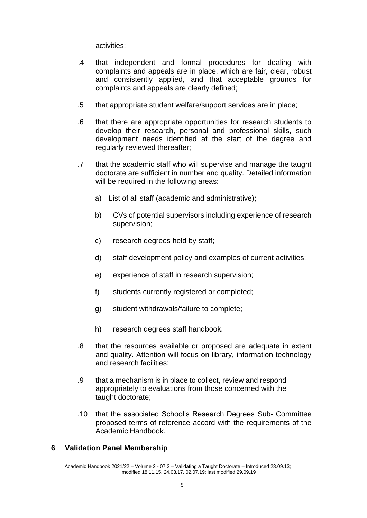activities;

- .4 that independent and formal procedures for dealing with complaints and appeals are in place, which are fair, clear, robust and consistently applied, and that acceptable grounds for complaints and appeals are clearly defined;
- .5 that appropriate student welfare/support services are in place;
- .6 that there are appropriate opportunities for research students to develop their research, personal and professional skills, such development needs identified at the start of the degree and regularly reviewed thereafter;
- .7 that the academic staff who will supervise and manage the taught doctorate are sufficient in number and quality. Detailed information will be required in the following areas:
	- a) List of all staff (academic and administrative);
	- b) CVs of potential supervisors including experience of research supervision;
	- c) research degrees held by staff;
	- d) staff development policy and examples of current activities;
	- e) experience of staff in research supervision;
	- f) students currently registered or completed;
	- g) student withdrawals/failure to complete;
	- h) research degrees staff handbook.
- .8 that the resources available or proposed are adequate in extent and quality. Attention will focus on library, information technology and research facilities;
- .9 that a mechanism is in place to collect, review and respond appropriately to evaluations from those concerned with the taught doctorate;
- .10 that the associated School's Research Degrees Sub- Committee proposed terms of reference accord with the requirements of the Academic Handbook.

#### **6 Validation Panel Membership**

Academic Handbook 2021/22 – Volume 2 - 07.3 – Validating a Taught Doctorate – Introduced 23.09.13; modified 18.11.15, 24.03.17, 02.07.19; last modified 29.09.19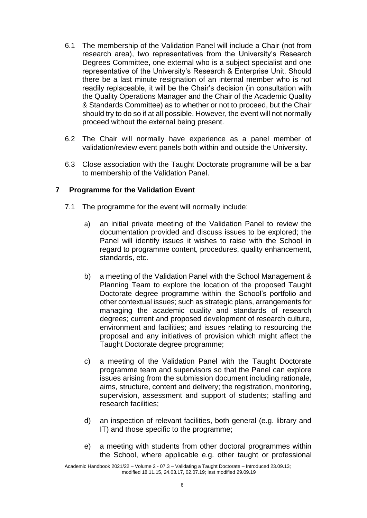- 6.1 The membership of the Validation Panel will include a Chair (not from research area), two representatives from the University's Research Degrees Committee, one external who is a subject specialist and one representative of the University's Research & Enterprise Unit. Should there be a last minute resignation of an internal member who is not readily replaceable, it will be the Chair's decision (in consultation with the Quality Operations Manager and the Chair of the Academic Quality & Standards Committee) as to whether or not to proceed, but the Chair should try to do so if at all possible. However, the event will not normally proceed without the external being present.
- 6.2 The Chair will normally have experience as a panel member of validation/review event panels both within and outside the University.
- 6.3 Close association with the Taught Doctorate programme will be a bar to membership of the Validation Panel.

# **7 Programme for the Validation Event**

- 7.1 The programme for the event will normally include:
	- a) an initial private meeting of the Validation Panel to review the documentation provided and discuss issues to be explored; the Panel will identify issues it wishes to raise with the School in regard to programme content, procedures, quality enhancement, standards, etc.
	- b) a meeting of the Validation Panel with the School Management & Planning Team to explore the location of the proposed Taught Doctorate degree programme within the School's portfolio and other contextual issues; such as strategic plans, arrangements for managing the academic quality and standards of research degrees; current and proposed development of research culture, environment and facilities; and issues relating to resourcing the proposal and any initiatives of provision which might affect the Taught Doctorate degree programme;
	- c) a meeting of the Validation Panel with the Taught Doctorate programme team and supervisors so that the Panel can explore issues arising from the submission document including rationale, aims, structure, content and delivery; the registration, monitoring, supervision, assessment and support of students; staffing and research facilities;
	- d) an inspection of relevant facilities, both general (e.g. library and IT) and those specific to the programme;
	- e) a meeting with students from other doctoral programmes within the School, where applicable e.g. other taught or professional

Academic Handbook 2021/22 – Volume 2 - 07.3 – Validating a Taught Doctorate – Introduced 23.09.13; modified 18.11.15, 24.03.17, 02.07.19; last modified 29.09.19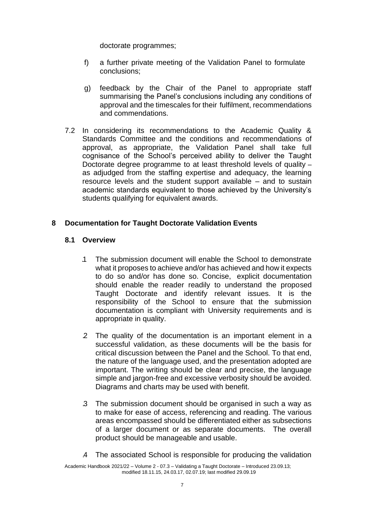doctorate programmes;

- f) a further private meeting of the Validation Panel to formulate conclusions;
- g) feedback by the Chair of the Panel to appropriate staff summarising the Panel's conclusions including any conditions of approval and the timescales for their fulfilment, recommendations and commendations.
- 7.2 In considering its recommendations to the Academic Quality & Standards Committee and the conditions and recommendations of approval, as appropriate, the Validation Panel shall take full cognisance of the School's perceived ability to deliver the Taught Doctorate degree programme to at least threshold levels of quality – as adjudged from the staffing expertise and adequacy, the learning resource levels and the student support available – and to sustain academic standards equivalent to those achieved by the University's students qualifying for equivalent awards.

# **8 Documentation for Taught Doctorate Validation Events**

# **8.1 Overview**

- .1 The submission document will enable the School to demonstrate what it proposes to achieve and/or has achieved and how it expects to do so and/or has done so. Concise, explicit documentation should enable the reader readily to understand the proposed Taught Doctorate and identify relevant issues. It is the responsibility of the School to ensure that the submission documentation is compliant with University requirements and is appropriate in quality.
- .2 The quality of the documentation is an important element in a successful validation, as these documents will be the basis for critical discussion between the Panel and the School. To that end, the nature of the language used, and the presentation adopted are important. The writing should be clear and precise, the language simple and jargon-free and excessive verbosity should be avoided. Diagrams and charts may be used with benefit.
- .3 The submission document should be organised in such a way as to make for ease of access, referencing and reading. The various areas encompassed should be differentiated either as subsections of a larger document or as separate documents. The overall product should be manageable and usable.
- .4 The associated School is responsible for producing the validation

Academic Handbook 2021/22 – Volume 2 - 07.3 – Validating a Taught Doctorate – Introduced 23.09.13; modified 18.11.15, 24.03.17, 02.07.19; last modified 29.09.19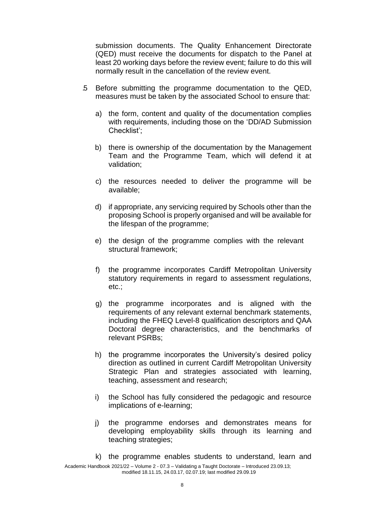submission documents. The Quality Enhancement Directorate (QED) must receive the documents for dispatch to the Panel at least 20 working days before the review event; failure to do this will normally result in the cancellation of the review event.

- .5 Before submitting the programme documentation to the QED, measures must be taken by the associated School to ensure that:
	- a) the form, content and quality of the documentation complies with requirements, including those on the 'DD/AD Submission Checklist';
	- b) there is ownership of the documentation by the Management Team and the Programme Team, which will defend it at validation;
	- c) the resources needed to deliver the programme will be available;
	- d) if appropriate, any servicing required by Schools other than the proposing School is properly organised and will be available for the lifespan of the programme;
	- e) the design of the programme complies with the relevant structural framework;
	- f) the programme incorporates Cardiff Metropolitan University statutory requirements in regard to assessment regulations, etc.;
	- g) the programme incorporates and is aligned with the requirements of any relevant external benchmark statements, including the FHEQ Level-8 qualification descriptors and QAA Doctoral degree characteristics, and the benchmarks of relevant PSRBs;
	- h) the programme incorporates the University's desired policy direction as outlined in current Cardiff Metropolitan University Strategic Plan and strategies associated with learning, teaching, assessment and research;
	- i) the School has fully considered the pedagogic and resource implications of e-learning;
	- j) the programme endorses and demonstrates means for developing employability skills through its learning and teaching strategies;
	- k) the programme enables students to understand, learn and

Academic Handbook 2021/22 – Volume 2 - 07.3 – Validating a Taught Doctorate – Introduced 23.09.13; modified 18.11.15, 24.03.17, 02.07.19; last modified 29.09.19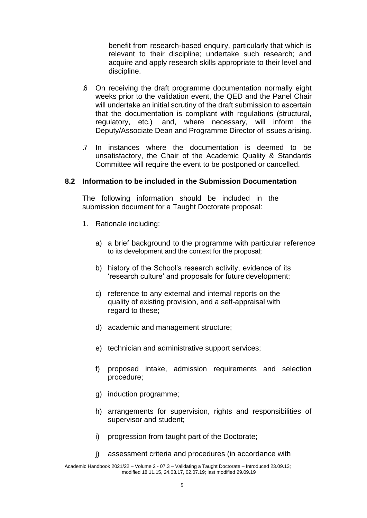benefit from research-based enquiry, particularly that which is relevant to their discipline; undertake such research; and acquire and apply research skills appropriate to their level and discipline.

- .6 On receiving the draft programme documentation normally eight weeks prior to the validation event, the QED and the Panel Chair will undertake an initial scrutiny of the draft submission to ascertain that the documentation is compliant with regulations (structural, regulatory, etc.) and, where necessary, will inform the Deputy/Associate Dean and Programme Director of issues arising.
- .7 In instances where the documentation is deemed to be unsatisfactory, the Chair of the Academic Quality & Standards Committee will require the event to be postponed or cancelled.

# **8.2 Information to be included in the Submission Documentation**

The following information should be included in the submission document for a Taught Doctorate proposal:

- 1. Rationale including:
	- a) a brief background to the programme with particular reference to its development and the context for the proposal;
	- b) history of the School's research activity, evidence of its 'research culture' and proposals for future development;
	- c) reference to any external and internal reports on the quality of existing provision, and a self-appraisal with regard to these;
	- d) academic and management structure;
	- e) technician and administrative support services;
	- f) proposed intake, admission requirements and selection procedure;
	- g) induction programme;
	- h) arrangements for supervision, rights and responsibilities of supervisor and student;
	- i) progression from taught part of the Doctorate;
	- j) assessment criteria and procedures (in accordance with

Academic Handbook 2021/22 – Volume 2 - 07.3 – Validating a Taught Doctorate – Introduced 23.09.13; modified 18.11.15, 24.03.17, 02.07.19; last modified 29.09.19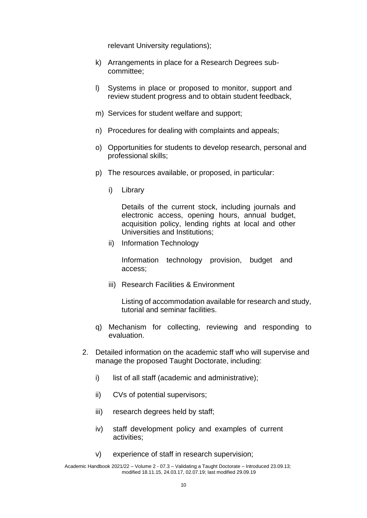relevant University regulations);

- k) Arrangements in place for a Research Degrees subcommittee;
- l) Systems in place or proposed to monitor, support and review student progress and to obtain student feedback,
- m) Services for student welfare and support;
- n) Procedures for dealing with complaints and appeals;
- o) Opportunities for students to develop research, personal and professional skills;
- p) The resources available, or proposed, in particular:
	- i) Library

Details of the current stock, including journals and electronic access, opening hours, annual budget, acquisition policy, lending rights at local and other Universities and Institutions;

ii) Information Technology

Information technology provision, budget and access;

iii) Research Facilities & Environment

Listing of accommodation available for research and study, tutorial and seminar facilities.

- q) Mechanism for collecting, reviewing and responding to evaluation.
- 2. Detailed information on the academic staff who will supervise and manage the proposed Taught Doctorate, including:
	- i) list of all staff (academic and administrative);
	- ii) CVs of potential supervisors;
	- iii) research degrees held by staff;
	- iv) staff development policy and examples of current activities;
	- v) experience of staff in research supervision;

Academic Handbook 2021/22 – Volume 2 - 07.3 – Validating a Taught Doctorate – Introduced 23.09.13; modified 18.11.15, 24.03.17, 02.07.19; last modified 29.09.19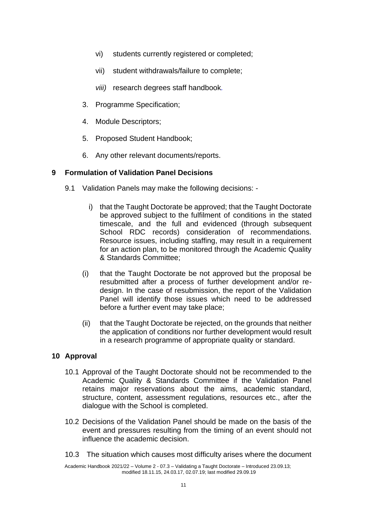- vi) students currently registered or completed;
- vii) student withdrawals/failure to complete;
- *viii)* research degrees staff handbook*.*
- 3. Programme Specification;
- 4. Module Descriptors;
- 5. Proposed Student Handbook;
- 6. Any other relevant documents/reports.

## **9 Formulation of Validation Panel Decisions**

- 9.1 Validation Panels may make the following decisions:
	- i) that the Taught Doctorate be approved; that the Taught Doctorate be approved subject to the fulfilment of conditions in the stated timescale, and the full and evidenced (through subsequent School RDC records) consideration of recommendations. Resource issues, including staffing, may result in a requirement for an action plan, to be monitored through the Academic Quality & Standards Committee;
	- (i) that the Taught Doctorate be not approved but the proposal be resubmitted after a process of further development and/or redesign. In the case of resubmission, the report of the Validation Panel will identify those issues which need to be addressed before a further event may take place;
	- (ii) that the Taught Doctorate be rejected, on the grounds that neither the application of conditions nor further development would result in a research programme of appropriate quality or standard.

# **10 Approval**

- 10.1 Approval of the Taught Doctorate should not be recommended to the Academic Quality & Standards Committee if the Validation Panel retains major reservations about the aims, academic standard, structure, content, assessment regulations, resources etc., after the dialogue with the School is completed.
- 10.2 Decisions of the Validation Panel should be made on the basis of the event and pressures resulting from the timing of an event should not influence the academic decision.
- 10.3 The situation which causes most difficulty arises where the document

Academic Handbook 2021/22 – Volume 2 - 07.3 – Validating a Taught Doctorate – Introduced 23.09.13; modified 18.11.15, 24.03.17, 02.07.19; last modified 29.09.19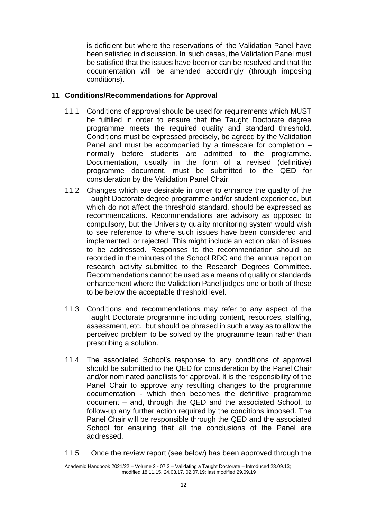is deficient but where the reservations of the Validation Panel have been satisfied in discussion. In such cases, the Validation Panel must be satisfied that the issues have been or can be resolved and that the documentation will be amended accordingly (through imposing conditions).

# **11 Conditions/Recommendations for Approval**

- 11.1 Conditions of approval should be used for requirements which MUST be fulfilled in order to ensure that the Taught Doctorate degree programme meets the required quality and standard threshold. Conditions must be expressed precisely, be agreed by the Validation Panel and must be accompanied by a timescale for completion – normally before students are admitted to the programme. Documentation, usually in the form of a revised (definitive) programme document, must be submitted to the QED for consideration by the Validation Panel Chair.
- 11.2 Changes which are desirable in order to enhance the quality of the Taught Doctorate degree programme and/or student experience, but which do not affect the threshold standard, should be expressed as recommendations. Recommendations are advisory as opposed to compulsory, but the University quality monitoring system would wish to see reference to where such issues have been considered and implemented, or rejected. This might include an action plan of issues to be addressed. Responses to the recommendation should be recorded in the minutes of the School RDC and the annual report on research activity submitted to the Research Degrees Committee. Recommendations cannot be used as a means of quality or standards enhancement where the Validation Panel judges one or both of these to be below the acceptable threshold level.
- 11.3 Conditions and recommendations may refer to any aspect of the Taught Doctorate programme including content, resources, staffing, assessment, etc., but should be phrased in such a way as to allow the perceived problem to be solved by the programme team rather than prescribing a solution.
- 11.4 The associated School's response to any conditions of approval should be submitted to the QED for consideration by the Panel Chair and/or nominated panellists for approval. It is the responsibility of the Panel Chair to approve any resulting changes to the programme documentation - which then becomes the definitive programme document – and, through the QED and the associated School, to follow-up any further action required by the conditions imposed. The Panel Chair will be responsible through the QED and the associated School for ensuring that all the conclusions of the Panel are addressed.
- 11.5 Once the review report (see below) has been approved through the

Academic Handbook 2021/22 – Volume 2 - 07.3 – Validating a Taught Doctorate – Introduced 23.09.13; modified 18.11.15, 24.03.17, 02.07.19; last modified 29.09.19